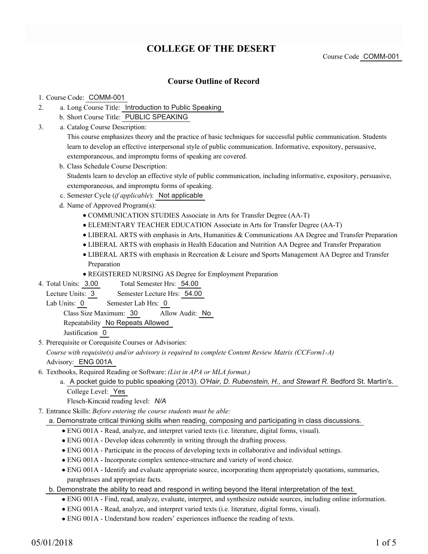# **COLLEGE OF THE DESERT**

Course Code COMM-001

## **Course Outline of Record**

#### 1. Course Code: COMM-001

- a. Long Course Title: Introduction to Public Speaking 2.
	- b. Short Course Title: PUBLIC SPEAKING
- Catalog Course Description: a. 3.

This course emphasizes theory and the practice of basic techniques for successful public communication. Students learn to develop an effective interpersonal style of public communication. Informative, expository, persuasive, extemporaneous, and impromptu forms of speaking are covered.

- b. Class Schedule Course Description: Students learn to develop an effective style of public communication, including informative, expository, persuasive, extemporaneous, and impromptu forms of speaking.
- c. Semester Cycle (*if applicable*): Not applicable
- d. Name of Approved Program(s):
	- COMMUNICATION STUDIES Associate in Arts for Transfer Degree (AA-T)
	- ELEMENTARY TEACHER EDUCATION Associate in Arts for Transfer Degree (AA-T)
	- LIBERAL ARTS with emphasis in Arts, Humanities & Communications AA Degree and Transfer Preparation
	- LIBERAL ARTS with emphasis in Health Education and Nutrition AA Degree and Transfer Preparation
	- LIBERAL ARTS with emphasis in Recreation & Leisure and Sports Management AA Degree and Transfer Preparation
	- REGISTERED NURSING AS Degree for Employment Preparation
- Total Semester Hrs: 54.00 4. Total Units: 3.00
- Lecture Units: 3 Semester Lecture Hrs: 54.00
- Lab Units: 0 Semester Lab Hrs: 0

Class Size Maximum: 30 Allow Audit: No

Repeatability No Repeats Allowed

Justification 0

5. Prerequisite or Corequisite Courses or Advisories:

*Course with requisite(s) and/or advisory is required to complete Content Review Matrix (CCForm1-A)* Advisory: ENG 001A

- Textbooks, Required Reading or Software: *(List in APA or MLA format.)* 6.
	- a. A pocket guide to public speaking (2013). O'Hair, D. Rubenstein, H., and Stewart R. Bedford St. Martin's. College Level: Yes

Flesch-Kincaid reading level: *N/A*

Entrance Skills: *Before entering the course students must be able:* 7.

#### a. Demonstrate critical thinking skills when reading, composing and participating in class discussions.

- ENG 001A Read, analyze, and interpret varied texts (i.e. literature, digital forms, visual).
- ENG 001A Develop ideas coherently in writing through the drafting process.
- ENG 001A Participate in the process of developing texts in collaborative and individual settings.
- ENG 001A Incorporate complex sentence-structure and variety of word choice.
- ENG 001A Identify and evaluate appropriate source, incorporating them appropriately quotations, summaries, paraphrases and appropriate facts.
- b. Demonstrate the ability to read and respond in writing beyond the literal interpretation of the text.
	- ENG 001A Find, read, analyze, evaluate, interpret, and synthesize outside sources, including online information.
	- ENG 001A Read, analyze, and interpret varied texts (i.e. literature, digital forms, visual).
	- ENG 001A Understand how readers' experiences influence the reading of texts.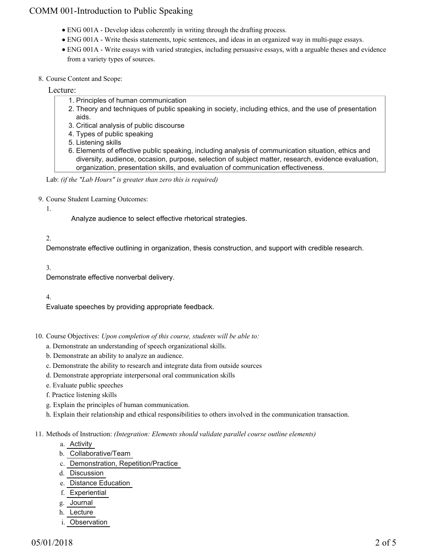## COMM 001-Introduction to Public Speaking

- ENG 001A Develop ideas coherently in writing through the drafting process.
- ENG 001A Write thesis statements, topic sentences, and ideas in an organized way in multi-page essays.
- ENG 001A Write essays with varied strategies, including persuasive essays, with a arguable theses and evidence from a variety types of sources.
- 8. Course Content and Scope:

## Lecture:

- 1. Principles of human communication
- 2. Theory and techniques of public speaking in society, including ethics, and the use of presentation aids.
- 3. Critical analysis of public discourse
- 4. Types of public speaking
- 5. Listening skills
- Elements of effective public speaking, including analysis of communication situation, ethics and 6. diversity, audience, occasion, purpose, selection of subject matter, research, evidence evaluation, organization, presentation skills, and evaluation of communication effectiveness.

Lab: *(if the "Lab Hours" is greater than zero this is required)*

9. Course Student Learning Outcomes:

#### 1.

Analyze audience to select effective rhetorical strategies.

## 2.

Demonstrate effective outlining in organization, thesis construction, and support with credible research.

3.

Demonstrate effective nonverbal delivery.

## 4.

Evaluate speeches by providing appropriate feedback.

- 10. Course Objectives: Upon completion of this course, students will be able to:
	- a. Demonstrate an understanding of speech organizational skills.
	- b. Demonstrate an ability to analyze an audience.
	- c. Demonstrate the ability to research and integrate data from outside sources
	- d. Demonstrate appropriate interpersonal oral communication skills
	- e. Evaluate public speeches
	- f. Practice listening skills
	- g. Explain the principles of human communication.
	- h. Explain their relationship and ethical responsibilities to others involved in the communication transaction.

#### Methods of Instruction: *(Integration: Elements should validate parallel course outline elements)* 11.

- a. Activity
- b. Collaborative/Team
- c. Demonstration, Repetition/Practice
- d. Discussion
- e. Distance Education
- f. Experiential
- g. Journal
- h. Lecture
- i. Observation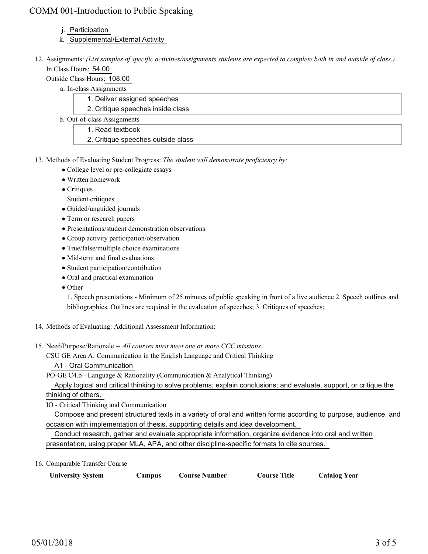## COMM 001-Introduction to Public Speaking

## j. Participation

- k. Supplemental/External Activity
- 12. Assignments: (List samples of specific activities/assignments students are expected to complete both in and outside of class.) In Class Hours: 54.00
	- Outside Class Hours: 108.00
		- a. In-class Assignments
			- 1. Deliver assigned speeches
			- 2. Critique speeches inside class
		- b. Out-of-class Assignments
			- 1. Read textbook
			- 2. Critique speeches outside class
- 13. Methods of Evaluating Student Progress: The student will demonstrate proficiency by:
	- College level or pre-collegiate essays
	- Written homework
	- Critiques
	- Student critiques
	- Guided/unguided journals
	- Term or research papers
	- Presentations/student demonstration observations
	- Group activity participation/observation
	- True/false/multiple choice examinations
	- Mid-term and final evaluations
	- Student participation/contribution
	- Oral and practical examination
	- Other

1. Speech presentations - Minimum of 25 minutes of public speaking in front of a live audience 2. Speech outlines and bibliographies. Outlines are required in the evaluation of speeches; 3. Critiques of speeches;

- 14. Methods of Evaluating: Additional Assessment Information:
- 15. Need/Purpose/Rationale -- All courses must meet one or more CCC missions.
	- CSU GE Area A: Communication in the English Language and Critical Thinking A1 - Oral Communication

PO-GE C4.b - Language & Rationality (Communication & Analytical Thinking)

 Apply logical and critical thinking to solve problems; explain conclusions; and evaluate, support, or critique the thinking of others.

IO - Critical Thinking and Communication

 Compose and present structured texts in a variety of oral and written forms according to purpose, audience, and occasion with implementation of thesis, supporting details and idea development.

 Conduct research, gather and evaluate appropriate information, organize evidence into oral and written presentation, using proper MLA, APA, and other discipline-specific formats to cite sources.

16. Comparable Transfer Course

| <b>University System</b><br>Course Number<br>Campus | <b>Catalog Year</b><br><b>Course Title</b> |
|-----------------------------------------------------|--------------------------------------------|
|-----------------------------------------------------|--------------------------------------------|